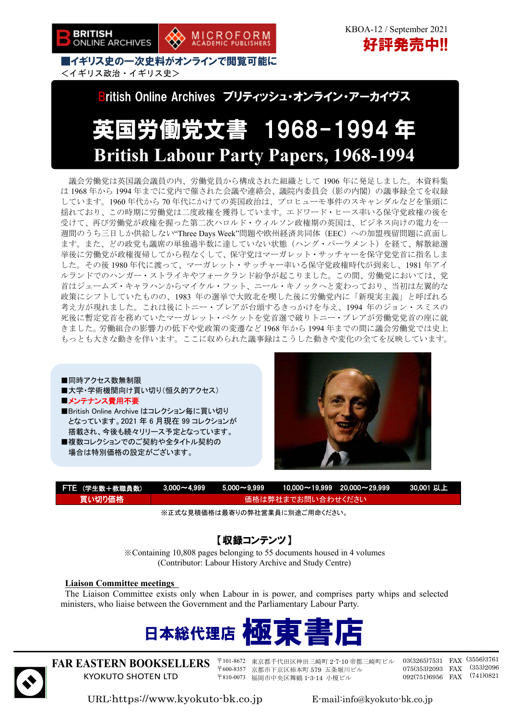



■イギリス史の一次史料がオンラインで閲覧可能に <イギリス政治・イギリス史>

## British Online Archives ブリティッシュ・オンライン・アーカイヴス

# 英国労働党文書 1968-1994 年 **British Labour Party Papers, 1968-1994**

議会労働党は英国議会議員の内、労働党員から構成された組織として 1906 年に発足しました。本資料集 は 1968 年から 1994 年までに党内で催された会議や連絡会、議院内委員会(影の内閣)の議事録全てを収録 しています。1960 年代から 70 年代にかけての英国政治は、プロヒューモ事件のスキャンダルなどを筆頭に 揺れており、この時期に労働党は二度政権を獲得しています。エドワード・ヒース率いる保守党政権の後を 受けて、再び労働党が政権を握った第二次ハロルド・ウィルソン政権期の英国は、ビジネス向けの電力を一 週間のうち三日しか供給しない"Three Days Week"問題や欧州経済共同体(EEC)への加盟残留問題に直面し ます。また、どの政党も議席の単独過半数に達していない状態(ハング・パーラメント)を経て、解散総選 挙後に労働党が政権復帰してから程なくして、保守党はマーガレット・サッチャーを保守党党首に指名しま した。その後 1980 年代に渡って、マーガレット・サッチャー率いる保守党政権時代が到来し、1981 年アイ ルランドでのハンガー・ストライキやフォークランド紛争が起こりました。この間、労働党においては、党 首はジェームズ・キャラハンからマイケル・フット、ニール・キノックへと変わっており、当初は左翼的な 政策にシフトしていたものの、1983 年の選挙で大敗北を喫した後に労働党内に「新現実主義」と呼ばれる 考え方が現れました。これは後にトニー・ブレアが台頭するきっかけを与え、1994 年のジョン・スミスの 死後に暫定党首を務めていたマーガレット・ベケットを党首選で破りトニー・ブレアが労働党党首の座に就 きました。労働組合の影響力の低下や党政策の変遷など 1968 年から 1994 年までの間に議会労働党では史上 もっとも大きな動きを伴います。ここに収められた議事録はこうした動きや変化の全てを反映しています。

■同時アクセス数無制限 ■大学・学術機関向け買い切り(恒久的アクセス) ■メンテナンス費用不要 ■British Online Archive はコレクション毎に買い切り となっています。2021 年 6 月現在 99 コレクションが 搭載され、今後も続々リリース予定となっています。

■複数コレクションでのご契約や全タイトル契約の 場合は特別価格の設定がございます。



| FTE (学生数+教職員数) |                   |  |  | $\lambda$ 3,000 $\sim$ 4,999 $\quad$ 5,000 $\sim$ 9,999 $\quad$ 10,000 $\sim$ 19,999 $\quad$ 20,000 $\sim$ 29,999 $\quad$ 30,001 U.L. |  |
|----------------|-------------------|--|--|---------------------------------------------------------------------------------------------------------------------------------------|--|
| 買い切り価格         | 価格は弊社までお問い合わせください |  |  |                                                                                                                                       |  |

※正式な見積価格は最寄りの弊社営業員に別途ご用命ください。

### 【収録コンテンツ】

※Containing 10,808 pages belonging to 55 documents housed in 4 volumes (Contributor: Labour History Archive and Study Centre)

#### **Liaison Committee meetings**

The Liaison Committee exists only when Labour in is power, and comprises party whips and selected ministers, who liaise between the Government and the Parliamentary Labour Party.





**FAR EASTERN BOOKSELLERS**  KYOKUTO SHOTEN LTD

〒101-8672 東京都千代田区神田三崎町 2-7-10 帝都三崎町ビル 〒600-8357 京都市下京区柿本町 579 五条堀川ビル 〒810-0073 福岡市中央区舞鶴 1-3-14 小榎ビル

03(3265)7531 FAX (3556)3761 075(353)2093 FAX (353)2096 092(751)6956 FAX (741)0821

URL:https://www.kyokuto-bk.co.jp E-mail:info@kyokuto-bk.co.jp